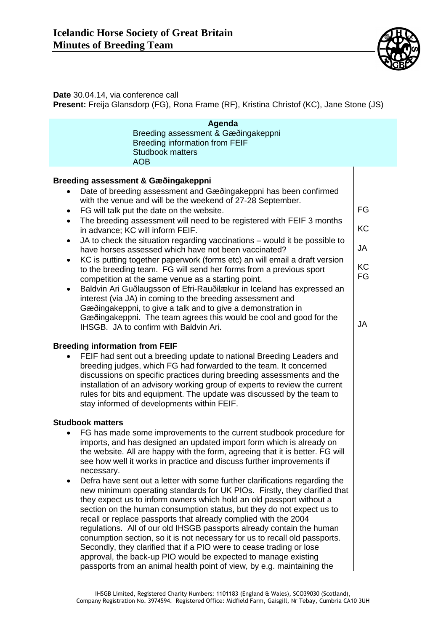

## **Date** 30.04.14, via conference call

**Present:** Freija Glansdorp (FG), Rona Frame (RF), Kristina Christof (KC), Jane Stone (JS)

| Agenda<br>Breeding assessment & Gæðingakeppni<br><b>Breeding information from FEIF</b><br><b>Studbook matters</b><br><b>AOB</b>                                                                                                                                                                                                                                                                                                                                                                                                                                                                                                                                                                                                                                                                                                                                                                                                                                                                                                                                                                                |                                                |
|----------------------------------------------------------------------------------------------------------------------------------------------------------------------------------------------------------------------------------------------------------------------------------------------------------------------------------------------------------------------------------------------------------------------------------------------------------------------------------------------------------------------------------------------------------------------------------------------------------------------------------------------------------------------------------------------------------------------------------------------------------------------------------------------------------------------------------------------------------------------------------------------------------------------------------------------------------------------------------------------------------------------------------------------------------------------------------------------------------------|------------------------------------------------|
| Breeding assessment & Gæðingakeppni<br>Date of breeding assessment and Gæðingakeppni has been confirmed<br>with the venue and will be the weekend of 27-28 September.<br>FG will talk put the date on the website.<br>$\bullet$<br>The breeding assessment will need to be registered with FEIF 3 months<br>$\bullet$<br>in advance; KC will inform FEIF.<br>JA to check the situation regarding vaccinations – would it be possible to<br>$\bullet$<br>have horses assessed which have not been vaccinated?<br>KC is putting together paperwork (forms etc) an will email a draft version<br>$\bullet$<br>to the breeding team. FG will send her forms from a previous sport<br>competition at the same venue as a starting point.<br>Baldvin Ari Guðlaugsson of Efri-Rauðilækur in Iceland has expressed an<br>٠<br>interest (via JA) in coming to the breeding assessment and<br>Gæðingakeppni, to give a talk and to give a demonstration in<br>Gæðingakeppni. The team agrees this would be cool and good for the<br>IHSGB. JA to confirm with Baldvin Ari.                                               | FG<br>KC<br><b>JA</b><br>KC<br>FG<br><b>JA</b> |
| <b>Breeding information from FEIF</b><br>FEIF had sent out a breeding update to national Breeding Leaders and<br>breeding judges, which FG had forwarded to the team. It concerned<br>discussions on specific practices during breeding assessments and the<br>installation of an advisory working group of experts to review the current<br>rules for bits and equipment. The update was discussed by the team to<br>stay informed of developments within FEIF.                                                                                                                                                                                                                                                                                                                                                                                                                                                                                                                                                                                                                                               |                                                |
| <b>Studbook matters</b><br>FG has made some improvements to the current studbook procedure for<br>imports, and has designed an updated import form which is already on<br>the website. All are happy with the form, agreeing that it is better. FG will<br>see how well it works in practice and discuss further improvements if<br>necessary.<br>Defra have sent out a letter with some further clarifications regarding the<br>٠<br>new minimum operating standards for UK PIOs. Firstly, they clarified that<br>they expect us to inform owners which hold an old passport without a<br>section on the human consumption status, but they do not expect us to<br>recall or replace passports that already complied with the 2004<br>regulations. All of our old IHSGB passports already contain the human<br>conumption section, so it is not necessary for us to recall old passports.<br>Secondly, they clarified that if a PIO were to cease trading or lose<br>approval, the back-up PIO would be expected to manage existing<br>passports from an animal health point of view, by e.g. maintaining the |                                                |